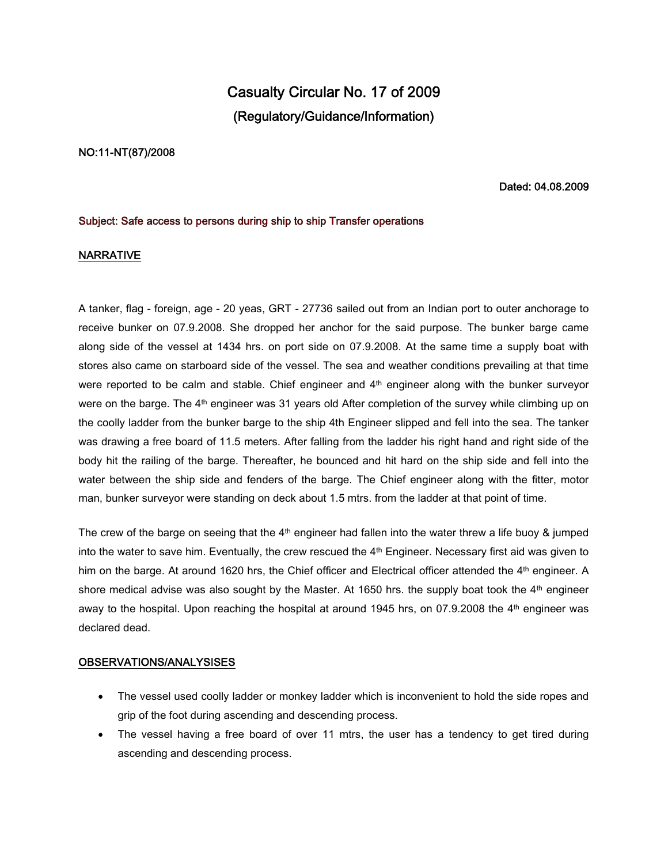# **Casualty Circular No. 17 of 2009 (Regulatory/Guidance/Information)**

#### **NO:11-NT(87)/2008**

#### **Dated: 04.08.2009**

#### **Subject: Safe access to persons during ship to ship Transfer operations**

### **NARRATIVE**

A tanker, flag - foreign, age - 20 yeas, GRT - 27736 sailed out from an Indian port to outer anchorage to receive bunker on 07.9.2008. She dropped her anchor for the said purpose. The bunker barge came along side of the vessel at 1434 hrs. on port side on 07.9.2008. At the same time a supply boat with stores also came on starboard side of the vessel. The sea and weather conditions prevailing at that time were reported to be calm and stable. Chief engineer and 4<sup>th</sup> engineer along with the bunker surveyor were on the barge. The 4<sup>th</sup> engineer was 31 years old After completion of the survey while climbing up on the coolly ladder from the bunker barge to the ship 4th Engineer slipped and fell into the sea. The tanker was drawing a free board of 11.5 meters. After falling from the ladder his right hand and right side of the body hit the railing of the barge. Thereafter, he bounced and hit hard on the ship side and fell into the water between the ship side and fenders of the barge. The Chief engineer along with the fitter, motor man, bunker surveyor were standing on deck about 1.5 mtrs. from the ladder at that point of time.

The crew of the barge on seeing that the 4<sup>th</sup> engineer had fallen into the water threw a life buoy & jumped into the water to save him. Eventually, the crew rescued the 4<sup>th</sup> Engineer. Necessary first aid was given to him on the barge. At around 1620 hrs, the Chief officer and Electrical officer attended the 4<sup>th</sup> engineer. A shore medical advise was also sought by the Master. At 1650 hrs. the supply boat took the  $4<sup>th</sup>$  engineer away to the hospital. Upon reaching the hospital at around 1945 hrs, on 07.9.2008 the  $4<sup>th</sup>$  engineer was declared dead.

#### **OBSERVATIONS/ANALYSISES**

- The vessel used coolly ladder or monkey ladder which is inconvenient to hold the side ropes and grip of the foot during ascending and descending process.
- The vessel having a free board of over 11 mtrs, the user has a tendency to get tired during ascending and descending process.